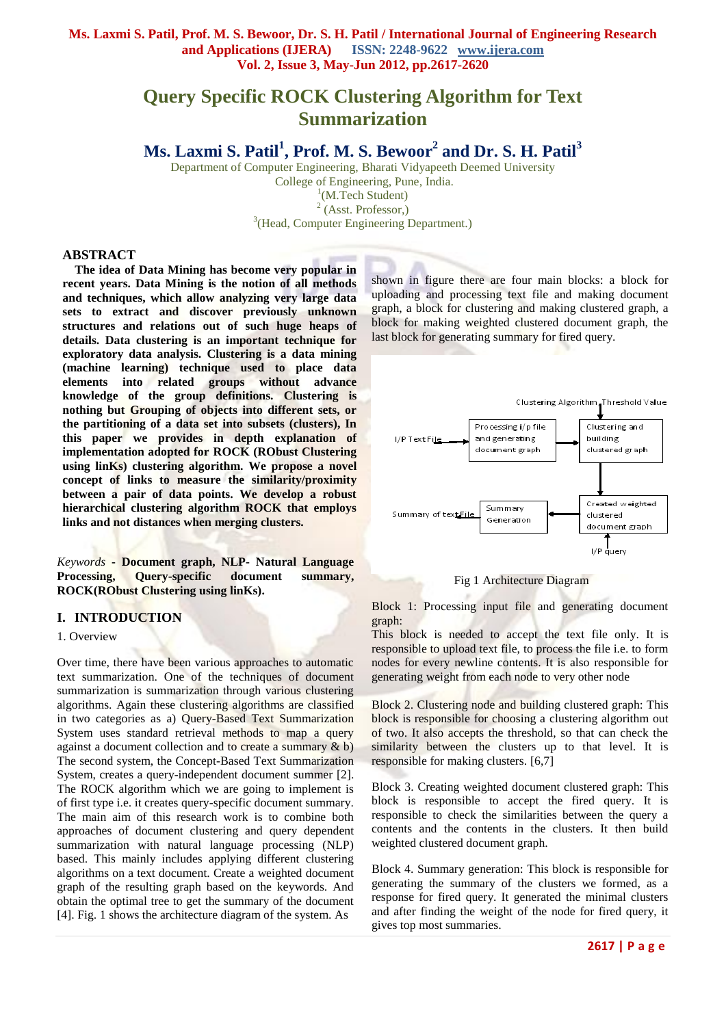# **Ms. Laxmi S. Patil, Prof. M. S. Bewoor, Dr. S. H. Patil / International Journal of Engineering Research and Applications (IJERA) ISSN: 2248-9622 www.ijera.com Vol. 2, Issue 3, May-Jun 2012, pp.2617-2620**

# **Query Specific ROCK Clustering Algorithm for Text Summarization**

# **Ms. Laxmi S. Patil<sup>1</sup> , Prof. M. S. Bewoor<sup>2</sup> and Dr. S. H. Patil<sup>3</sup>**

Department of Computer Engineering, Bharati Vidyapeeth Deemed University College of Engineering, Pune, India. <sup>1</sup>(M.Tech Student) <sup>2</sup> (Asst. Professor,) <sup>3</sup>(Head, Computer Engineering Department.)

#### **ABSTRACT**

**The idea of Data Mining has become very popular in recent years. Data Mining is the notion of all methods and techniques, which allow analyzing very large data sets to extract and discover previously unknown structures and relations out of such huge heaps of details. Data clustering is an important technique for exploratory data analysis. Clustering is a data mining (machine learning) technique used to place data elements into related groups without advance knowledge of the group definitions. Clustering is nothing but Grouping of objects into different sets, or the partitioning of a data set into subsets (clusters), In this paper we provides in depth explanation of implementation adopted for ROCK (RObust Clustering using linKs) clustering algorithm. We propose a novel concept of links to measure the similarity/proximity between a pair of data points. We develop a robust hierarchical clustering algorithm ROCK that employs links and not distances when merging clusters.**

*Keywords* **- Document graph, NLP- Natural Language Processing, Query-specific document summary, ROCK(RObust Clustering using linKs).**

### **I. INTRODUCTION**

#### 1. Overview

Over time, there have been various approaches to automatic text summarization. One of the techniques of document summarization is summarization through various clustering algorithms. Again these clustering algorithms are classified in two categories as a) Query-Based Text Summarization System uses standard retrieval methods to map a query against a document collection and to create a summary & b) The second system, the Concept-Based Text Summarization System, creates a query-independent document summer [2]. The ROCK algorithm which we are going to implement is of first type i.e. it creates query-specific document summary. The main aim of this research work is to combine both approaches of document clustering and query dependent summarization with natural language processing (NLP) based. This mainly includes applying different clustering algorithms on a text document. Create a weighted document graph of the resulting graph based on the keywords. And obtain the optimal tree to get the summary of the document [4]. Fig. 1 shows the architecture diagram of the system. As

shown in figure there are four main blocks: a block for uploading and processing text file and making document graph, a block for clustering and making clustered graph, a block for making weighted clustered document graph, the last block for generating summary for fired query.





Block 1: Processing input file and generating document graph:

This block is needed to accept the text file only. It is responsible to upload text file, to process the file i.e. to form nodes for every newline contents. It is also responsible for generating weight from each node to very other node

Block 2. Clustering node and building clustered graph: This block is responsible for choosing a clustering algorithm out of two. It also accepts the threshold, so that can check the similarity between the clusters up to that level. It is responsible for making clusters. [6,7]

Block 3. Creating weighted document clustered graph: This block is responsible to accept the fired query. It is responsible to check the similarities between the query a contents and the contents in the clusters. It then build weighted clustered document graph.

Block 4. Summary generation: This block is responsible for generating the summary of the clusters we formed, as a response for fired query. It generated the minimal clusters and after finding the weight of the node for fired query, it gives top most summaries.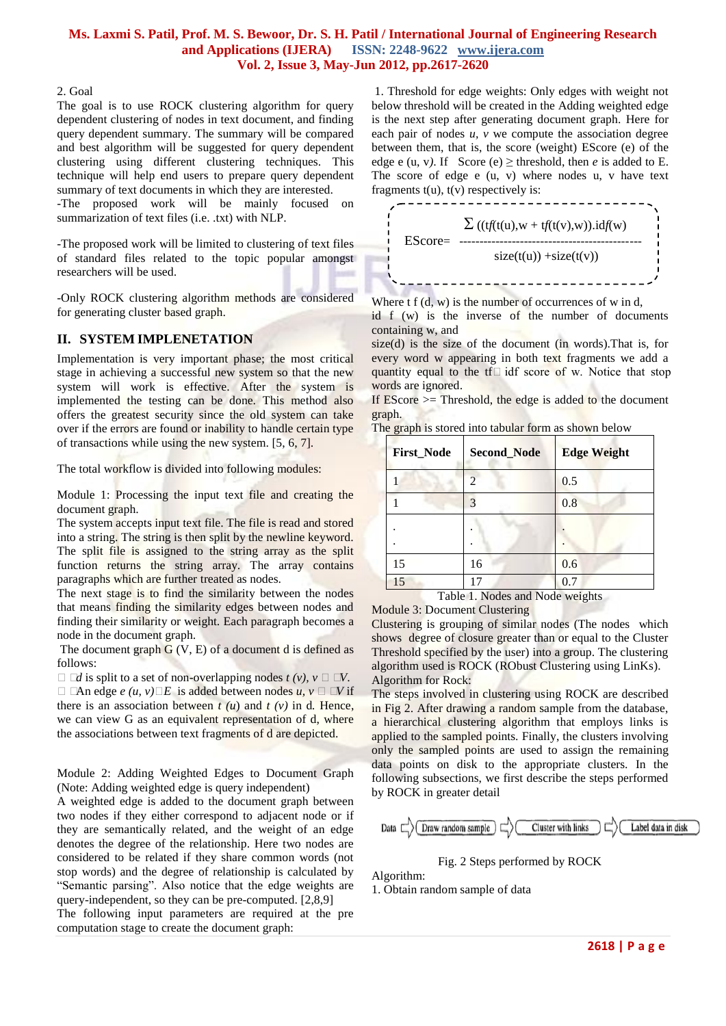# **Ms. Laxmi S. Patil, Prof. M. S. Bewoor, Dr. S. H. Patil / International Journal of Engineering Research and Applications (IJERA) ISSN: 2248-9622 www.ijera.com Vol. 2, Issue 3, May-Jun 2012, pp.2617-2620**

#### 2. Goal

The goal is to use ROCK clustering algorithm for query dependent clustering of nodes in text document, and finding query dependent summary. The summary will be compared and best algorithm will be suggested for query dependent clustering using different clustering techniques. This technique will help end users to prepare query dependent summary of text documents in which they are interested.

-The proposed work will be mainly focused on summarization of text files (i.e. .txt) with NLP.

-The proposed work will be limited to clustering of text files of standard files related to the topic popular amongst researchers will be used.

-Only ROCK clustering algorithm methods are considered for generating cluster based graph.

## **II. SYSTEM IMPLENETATION**

Implementation is very important phase; the most critical stage in achieving a successful new system so that the new system will work is effective. After the system is implemented the testing can be done. This method also offers the greatest security since the old system can take over if the errors are found or inability to handle certain type of transactions while using the new system. [5, 6, 7].

The total workflow is divided into following modules:

Module 1: Processing the input text file and creating the document graph.

The system accepts input text file. The file is read and stored into a string. The string is then split by the newline keyword. The split file is assigned to the string array as the split function returns the string array. The array contains paragraphs which are further treated as nodes.

The next stage is to find the similarity between the nodes that means finding the similarity edges between nodes and finding their similarity or weight. Each paragraph becomes a node in the document graph.

The document graph  $G(V, E)$  of a document d is defined as follows:

 $\Box$   $\Box$ *d* is split to a set of non-overlapping nodes  $t(v)$ ,  $v \Box \Box V$ . □ □An edge *e*  $(u, v)$ □*E* is added between nodes  $u, v$  □ □V if there is an association between  $t(u)$  and  $t(v)$  in d. Hence, we can view G as an equivalent representation of d, where the associations between text fragments of d are depicted.

Module 2: Adding Weighted Edges to Document Graph (Note: Adding weighted edge is query independent)

A weighted edge is added to the document graph between two nodes if they either correspond to adjacent node or if they are semantically related, and the weight of an edge denotes the degree of the relationship. Here two nodes are considered to be related if they share common words (not stop words) and the degree of relationship is calculated by "Semantic parsing". Also notice that the edge weights are query-independent, so they can be pre-computed. [2,8,9]

The following input parameters are required at the pre computation stage to create the document graph:

1. Threshold for edge weights: Only edges with weight not below threshold will be created in the Adding weighted edge is the next step after generating document graph. Here for each pair of nodes *u*, *v* we compute the association degree between them, that is, the score (weight) EScore (e) of the edge e (u, v). If Score (e)  $\geq$  threshold, then *e* is added to E. The score of edge e (u, v) where nodes u, v have text fragments  $t(u)$ ,  $t(v)$  respectively is:



Where  $t f(d, w)$  is the number of occurrences of w in d, id f (w) is the inverse of the number of documents containing w, and

size(d) is the size of the document (in words).That is, for every word w appearing in both text fragments we add a quantity equal to the tf $\Box$  idf score of w. Notice that stop words are ignored.

If  $EScore \geq TNreshold$ , the edge is added to the document graph.

| <b>First_Node</b> | <b>Second_Node</b> | <b>Edge Weight</b> |
|-------------------|--------------------|--------------------|
|                   |                    | 0.5                |
|                   |                    | 0.8                |
|                   |                    |                    |
|                   |                    |                    |
| 15                | 16                 | 0.6                |
| 15                | 17                 | 0.7                |

Table 1. Nodes and Node weights

Module 3: Document Clustering

Clustering is grouping of similar nodes (The nodes which shows degree of closure greater than or equal to the Cluster Threshold specified by the user) into a group. The clustering algorithm used is ROCK (RObust Clustering using LinKs). Algorithm for Rock:

The steps involved in clustering using ROCK are described in Fig 2. After drawing a random sample from the database, a hierarchical clustering algorithm that employs links is applied to the sampled points. Finally, the clusters involving only the sampled points are used to assign the remaining data points on disk to the appropriate clusters. In the following subsections, we first describe the steps performed by ROCK in greater detail



Fig. 2 Steps performed by ROCK

Algorithm:

1. Obtain random sample of data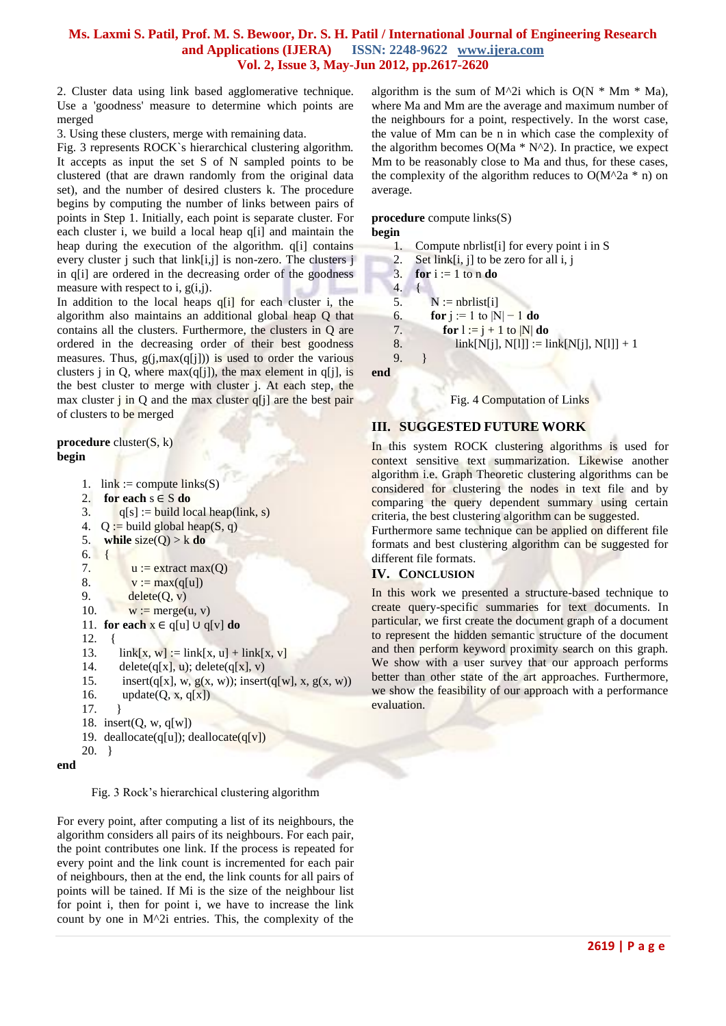# **Ms. Laxmi S. Patil, Prof. M. S. Bewoor, Dr. S. H. Patil / International Journal of Engineering Research and Applications (IJERA) ISSN: 2248-9622 www.ijera.com Vol. 2, Issue 3, May-Jun 2012, pp.2617-2620**

2. Cluster data using link based agglomerative technique. Use a 'goodness' measure to determine which points are merged

3. Using these clusters, merge with remaining data.

Fig. 3 represents ROCK`s hierarchical clustering algorithm. It accepts as input the set S of N sampled points to be clustered (that are drawn randomly from the original data set), and the number of desired clusters k. The procedure begins by computing the number of links between pairs of points in Step 1. Initially, each point is separate cluster. For each cluster i, we build a local heap q[i] and maintain the heap during the execution of the algorithm. q[i] contains every cluster j such that link[i,j] is non-zero. The clusters j in q[i] are ordered in the decreasing order of the goodness measure with respect to i,  $g(i,j)$ .

In addition to the local heaps  $q[i]$  for each cluster i, the algorithm also maintains an additional global heap Q that contains all the clusters. Furthermore, the clusters in Q are ordered in the decreasing order of their best goodness measures. Thus,  $g(j, max(q[j]))$  is used to order the various clusters j in Q, where  $max(q[i])$ , the max element in q[j], is the best cluster to merge with cluster j. At each step, the max cluster  $j$  in Q and the max cluster  $q[j]$  are the best pair of clusters to be merged

**procedure** cluster(S, k) **begin**

```
1. link := compute links(S)2. for each s \in S do
    3. q[s] := \text{build local heap}(\text{link}, s)4. Q := build global heap(S, q)
    5. while size(Q) > k do
    6. {
    7. u := extract max(O)
    8. v := max(q[u])9. \qquad delete(Q, v)10. w := merge(u, v)11. for each x ∈ q[u] ∪ q[v] do
     12. {
     13. link[x, w] := link[x, u] + link[x, v]
     14. delete(q[x], u); delete(q[x], v)15. insert(q[x], w, g(x, w)); insert(q[w], x, g(x, w))
    16. update(Q, x, q[x])17. \quad \frac{1}{2}18. insert(Q, w, q[w])19. deallocate(q[u]); deallocate(q[v])20. }
end
```
Fig. 3 Rock's hierarchical clustering algorithm

For every point, after computing a list of its neighbours, the algorithm considers all pairs of its neighbours. For each pair, the point contributes one link. If the process is repeated for every point and the link count is incremented for each pair of neighbours, then at the end, the link counts for all pairs of points will be tained. If Mi is the size of the neighbour list for point i, then for point i, we have to increase the link count by one in M^2i entries. This, the complexity of the

algorithm is the sum of M^2i which is  $O(N * Mm * Ma)$ , where Ma and Mm are the average and maximum number of the neighbours for a point, respectively. In the worst case, the value of Mm can be n in which case the complexity of the algorithm becomes  $O(Ma * N^2)$ . In practice, we expect Mm to be reasonably close to Ma and thus, for these cases, the complexity of the algorithm reduces to  $O(M^2a * n)$  on average.

#### **procedure** compute links(S) **begin**

```
1. Compute nbrlist[i] for every point i in S
```
- 2. Set link $[i, j]$  to be zero for all i, j
- 3. **for**  $i := 1$  to n **do**
- 4. {

```
5. N := \text{nbrlist}[i]
```

```
6. for j := 1 to |N| - 1 do
```

```
7. for l := j + 1 to N/do
```

```
8. link[N[j], N[l]] := link[N[j], N[l]] + 1
9. }
```
**end**

#### Fig. 4 Computation of Links

# **III. SUGGESTED FUTURE WORK**

In this system ROCK clustering algorithms is used for context sensitive text summarization. Likewise another algorithm i.e. Graph Theoretic clustering algorithms can be considered for clustering the nodes in text file and by comparing the query dependent summary using certain criteria, the best clustering algorithm can be suggested.

Furthermore same technique can be applied on different file formats and best clustering algorithm can be suggested for different file formats.

# **IV. CONCLUSION**

In this work we presented a structure-based technique to create query-specific summaries for text documents. In particular, we first create the document graph of a document to represent the hidden semantic structure of the document and then perform keyword proximity search on this graph. We show with a user survey that our approach performs better than other state of the art approaches. Furthermore, we show the feasibility of our approach with a performance evaluation.